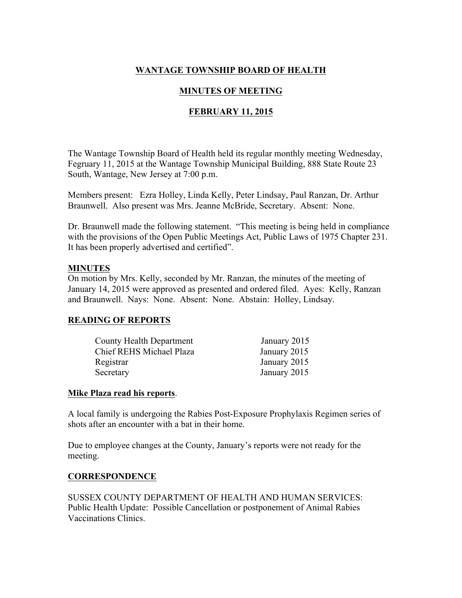## **WANTAGE TOWNSHIP BOARD OF HEALTH**

## **MINUTES OF MEETING**

## **FEBRUARY 11, 2015**

The Wantage Township Board of Health held its regular monthly meeting Wednesday, Fegruary 11, 2015 at the Wantage Township Municipal Building, 888 State Route 23 South, Wantage, New Jersey at 7:00 p.m.

Members present: Ezra Holley, Linda Kelly, Peter Lindsay, Paul Ranzan, Dr. Arthur Braunwell. Also present was Mrs. Jeanne McBride, Secretary. Absent: None.

Dr. Braunwell made the following statement. "This meeting is being held in compliance with the provisions of the Open Public Meetings Act, Public Laws of 1975 Chapter 231. It has been properly advertised and certified".

#### **MINUTES**

On motion by Mrs. Kelly, seconded by Mr. Ranzan, the minutes of the meeting of January 14, 2015 were approved as presented and ordered filed. Ayes: Kelly, Ranzan and Braunwell. Nays: None. Absent: None. Abstain: Holley, Lindsay.

## **READING OF REPORTS**

| County Health Department | January 2015 |
|--------------------------|--------------|
| Chief REHS Michael Plaza | January 2015 |
| Registrar                | January 2015 |
| Secretary                | January 2015 |

#### **Mike Plaza read his reports**.

A local family is undergoing the Rabies Post-Exposure Prophylaxis Regimen series of shots after an encounter with a bat in their home.

Due to employee changes at the County, January's reports were not ready for the meeting.

#### **CORRESPONDENCE**

SUSSEX COUNTY DEPARTMENT OF HEALTH AND HUMAN SERVICES: Public Health Update: Possible Cancellation or postponement of Animal Rabies Vaccinations Clinics.